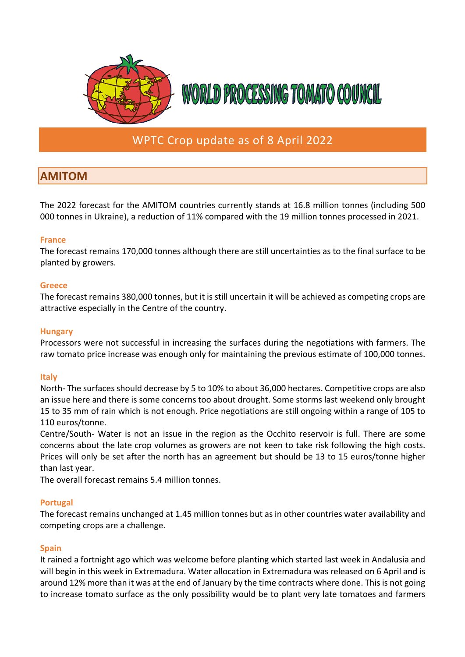

# WPTC Crop update as of 8 April 2022

# **AMITOM**

The 2022 forecast for the AMITOM countries currently stands at 16.8 million tonnes (including 500 000 tonnes in Ukraine), a reduction of 11% compared with the 19 million tonnes processed in 2021.

## **France**

The forecast remains 170,000 tonnes although there are still uncertainties as to the final surface to be planted by growers.

### **Greece**

The forecast remains 380,000 tonnes, but it is still uncertain it will be achieved as competing crops are attractive especially in the Centre of the country.

### **Hungary**

Processors were not successful in increasing the surfaces during the negotiations with farmers. The raw tomato price increase was enough only for maintaining the previous estimate of 100,000 tonnes.

## **Italy**

North- The surfaces should decrease by 5 to 10% to about 36,000 hectares. Competitive crops are also an issue here and there is some concerns too about drought. Some storms last weekend only brought 15 to 35 mm of rain which is not enough. Price negotiations are still ongoing within a range of 105 to 110 euros/tonne.

Centre/South- Water is not an issue in the region as the Occhito reservoir is full. There are some concerns about the late crop volumes as growers are not keen to take risk following the high costs. Prices will only be set after the north has an agreement but should be 13 to 15 euros/tonne higher than last year.

The overall forecast remains 5.4 million tonnes.

## **Portugal**

The forecast remains unchanged at 1.45 million tonnes but as in other countries water availability and competing crops are a challenge.

#### **Spain**

It rained a fortnight ago which was welcome before planting which started last week in Andalusia and will begin in this week in Extremadura. Water allocation in Extremadura was released on 6 April and is around 12% more than it was at the end of January by the time contracts where done. This is not going to increase tomato surface as the only possibility would be to plant very late tomatoes and farmers